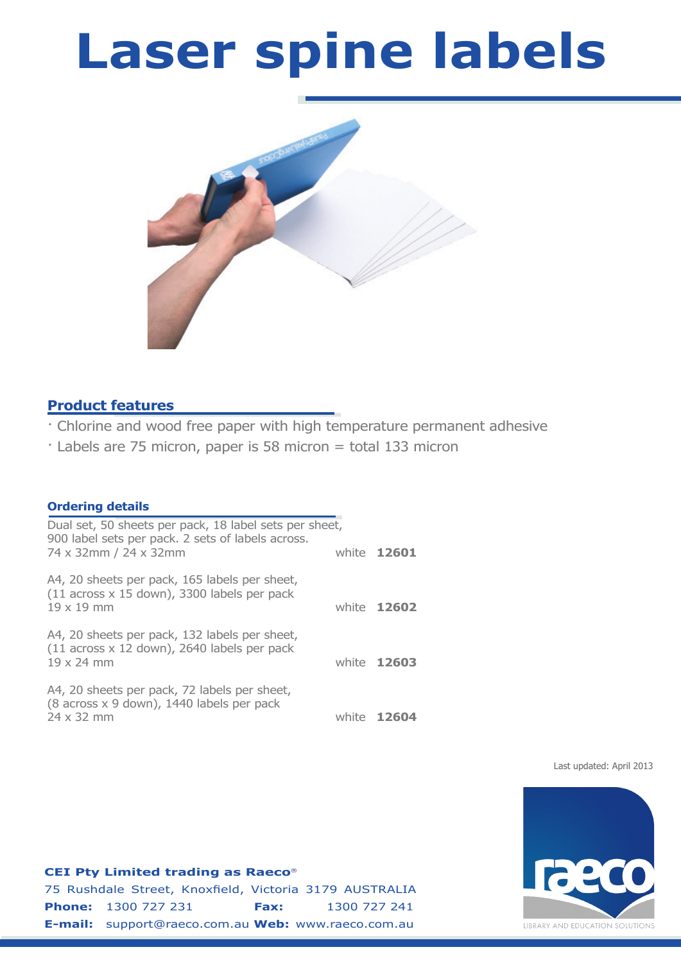# **Laser spine labels**



# **Product features**

- · Chlorine and wood free paper with high temperature permanent adhesive
- · Labels are 75 micron, paper is 58 micron = total 133 micron

# **Ordering details**

| Dual set, 50 sheets per pack, 18 label sets per sheet,<br>900 label sets per pack. 2 sets of labels across.       |                    |
|-------------------------------------------------------------------------------------------------------------------|--------------------|
| 74 x 32mm / 24 x 32mm                                                                                             | white 12601        |
| A4, 20 sheets per pack, 165 labels per sheet,<br>(11 across x 15 down), 3300 labels per pack<br>$19 \times 19$ mm | white <b>12602</b> |
| A4, 20 sheets per pack, 132 labels per sheet,<br>(11 across x 12 down), 2640 labels per pack<br>19 x 24 mm        | white 12603        |
| A4, 20 sheets per pack, 72 labels per sheet,<br>(8 across x 9 down), 1440 labels per pack<br>24 x 32 mm           | white 12604        |

Last updated: April 2013



### **CEI Pty Limited trading as Raeco**

75 Rushdale Street, Knoxfield, Victoria 3179 AUSTRALIA **Phone:** 1300 727 231 **Fax:** 1300 727 241 **E-mail:** support@raeco.com.au **Web:** www.raeco.com.au